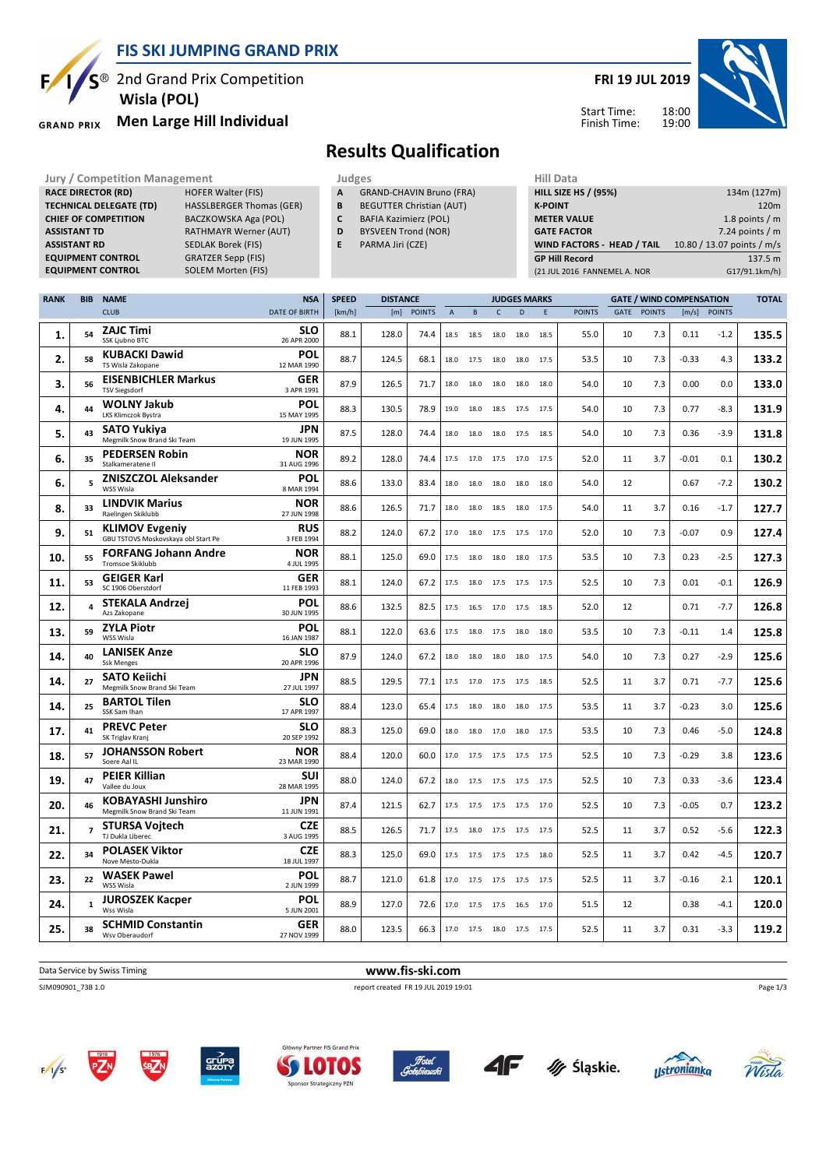

<sup>®</sup> 2nd Grand Prix Competition  **Wisla (POL)**

#### **Men Large Hill Individual GRAND PRIX**

**RACE DIRECTOR (RD)** HOFER Walter (FIS) **TECHNICAL DELEGATE (TD)** HASSLBERGER Thomas (GER) **CHIEF OF COMPETITION** BACZKOWSKA Aga (POL) **ASSISTANT TD** RATHMAYR Werner (AUT) **ASSISTANT RD** SEDLAK Borek (FIS)<br>**EQUIPMENT CONTROL** GRATZER Sepp (FIS)

**EQUIPMENT CONTROL** SOLEM Morten (FIS)

**EQUIPMENT CONTROL** 

# **FRI 19 JUL 2019**



Start Time: Finish Time:

# **Results Qualification**

**Jury / Competition Management development development of the Judges of American Hill Data** 

- **A** GRAND-CHAVIN Bruno (FRA)
- **B** BEGUTTER Christian (AUT) **C** BAFIA Kazimierz (POL)
- **D** BYSVEEN Trond (NOR)
	-
- **E** PARMA Jiri (CZE)

| .                            |                            |
|------------------------------|----------------------------|
| <b>HILL SIZE HS / (95%)</b>  | 134m (127m)                |
| <b>K-POINT</b>               | 120 <sub>m</sub>           |
| <b>METER VALUE</b>           | 1.8 points $/m$            |
| <b>GATE FACTOR</b>           | 7.24 points $/m$           |
| WIND FACTORS - HEAD / TAIL   | 10.80 / 13.07 points / m/s |
| <b>GP Hill Record</b>        | 137.5 m                    |
| (21 JUL 2016 FANNEMEL A. NOR | G17/91.1km/h)              |
|                              |                            |

| <b>RANK</b> | <b>BIB</b>     | <b>NAME</b>                                                  | <b>NSA</b>                | <b>SPEED</b> | <b>DISTANCE</b><br><b>JUDGES MARKS</b> |               |          |           |              | <b>GATE / WIND COMPENSATION</b> |      |               |             |               | <b>TOTAL</b> |               |       |
|-------------|----------------|--------------------------------------------------------------|---------------------------|--------------|----------------------------------------|---------------|----------|-----------|--------------|---------------------------------|------|---------------|-------------|---------------|--------------|---------------|-------|
|             |                | <b>CLUB</b>                                                  | <b>DATE OF BIRTH</b>      | [km/h]       | [m]                                    | <b>POINTS</b> | $\Delta$ | B         | $\mathsf{C}$ | D                               | F    | <b>POINTS</b> | <b>GATE</b> | <b>POINTS</b> | [m/s]        | <b>POINTS</b> |       |
| 1.          | 54             | <b>ZAJC Timi</b><br>SSK Ljubno BTC                           | <b>SLO</b><br>26 APR 2000 | 88.1         | 128.0                                  | 74.4          | 18.5     | 18.5      | 18.0         | 18.0                            | 18.5 | 55.0          | 10          | 7.3           | 0.11         | $-1.2$        | 135.5 |
| 2.          | 58             | <b>KUBACKI Dawid</b><br>TS Wisla Zakopane                    | <b>POL</b><br>12 MAR 1990 | 88.7         | 124.5                                  | 68.1          | 18.0     | 17.5      | 18.0         | 18.0                            | 17.5 | 53.5          | 10          | 7.3           | $-0.33$      | 4.3           | 133.2 |
| 3.          | 56             | <b>EISENBICHLER Markus</b><br><b>TSV Siegsdorf</b>           | GER<br>3 APR 1991         | 87.9         | 126.5                                  | 71.7          | 18.0     | 18.0      | 18.0         | 18.0                            | 18.0 | 54.0          | 10          | 7.3           | 0.00         | 0.0           | 133.0 |
| 4.          | 44             | <b>WOLNY Jakub</b><br>LKS Klimczok Bystra                    | <b>POL</b><br>15 MAY 1995 | 88.3         | 130.5                                  | 78.9          | 19.0     | 18.0      |              | 18.5 17.5                       | 17.5 | 54.0          | 10          | 7.3           | 0.77         | $-8.3$        | 131.9 |
| 5.          | 43             | <b>SATO Yukiya</b><br>Megmilk Snow Brand Ski Team            | <b>JPN</b><br>19 JUN 1995 | 87.5         | 128.0                                  | 74.4          | 18.0     | 18.0      | 18.0         | 17.5                            | 18.5 | 54.0          | 10          | 7.3           | 0.36         | $-3.9$        | 131.8 |
| 6.          | 35             | <b>PEDERSEN Robin</b><br>Stalkameratene II                   | <b>NOR</b><br>31 AUG 1996 | 89.2         | 128.0                                  | 74.4          | 17.5     | 17.0      | 17.5         | 17.0                            | 17.5 | 52.0          | 11          | 3.7           | $-0.01$      | 0.1           | 130.2 |
| 6.          | 5              | <b>ZNISZCZOL Aleksander</b><br>WSS Wisla                     | POL<br>8 MAR 1994         | 88.6         | 133.0                                  | 83.4          | 18.0     | 18.0      | 18.0         | 18.0                            | 18.0 | 54.0          | 12          |               | 0.67         | $-7.2$        | 130.2 |
| 8.          | 33             | <b>LINDVIK Marius</b><br>Raelingen Skiklubb                  | <b>NOR</b><br>27 JUN 1998 | 88.6         | 126.5                                  | 71.7          | 18.0     | 18.0      | 18.5         | 18.0                            | 17.5 | 54.0          | 11          | 3.7           | 0.16         | $-1.7$        | 127.7 |
| 9.          | 51             | <b>KLIMOV Evgeniy</b><br>GBU TSTOVS Moskovskaya obl Start Pe | <b>RUS</b><br>3 FEB 1994  | 88.2         | 124.0                                  | 67.2          | 17.0     | 18.0      | 17.5         | 17.5                            | 17.0 | 52.0          | 10          | 7.3           | $-0.07$      | 0.9           | 127.4 |
| 10.         | 55             | <b>FORFANG Johann Andre</b><br>Tromsoe Skiklubb              | <b>NOR</b><br>4 JUL 1995  | 88.1         | 125.0                                  | 69.0          | 17.5     | 18.0      | 18.0         | 18.0                            | 17.5 | 53.5          | 10          | 7.3           | 0.23         | $-2.5$        | 127.3 |
| 11.         | 53             | <b>GEIGER Karl</b><br>SC 1906 Oberstdorf                     | GER<br>11 FEB 1993        | 88.1         | 124.0                                  | 67.2          |          | 17.5 18.0 |              | 17.5 17.5 17.5                  |      | 52.5          | 10          | 7.3           | 0.01         | $-0.1$        | 126.9 |
| 12.         |                | <b>STEKALA Andrzej</b><br>Azs Zakopane                       | <b>POL</b><br>30 JUN 1995 | 88.6         | 132.5                                  | 82.5          | 17.5     | 16.5      | 17.0         | 17.5                            | 18.5 | 52.0          | 12          |               | 0.71         | $-7.7$        | 126.8 |
| 13.         | 59             | <b>ZYLA Piotr</b><br>WSS Wisla                               | <b>POL</b><br>16 JAN 1987 | 88.1         | 122.0                                  | 63.6          | 17.5     | 18.0      | 17.5         | 18.0                            | 18.0 | 53.5          | 10          | 7.3           | $-0.11$      | 1.4           | 125.8 |
| 14.         | 40             | <b>LANISEK Anze</b><br><b>Ssk Menges</b>                     | <b>SLO</b><br>20 APR 1996 | 87.9         | 124.0                                  | 67.2          | 18.0     | 18.0      | 18.0         | 18.0                            | 17.5 | 54.0          | 10          | 7.3           | 0.27         | $-2.9$        | 125.6 |
| 14.         | 27             | <b>SATO Keiichi</b><br>Megmilk Snow Brand Ski Team           | <b>JPN</b><br>27 JUL 1997 | 88.5         | 129.5                                  | 77.1          | 17.5     | 17.0      | 17.5         | 17.5                            | 18.5 | 52.5          | 11          | 3.7           | 0.71         | $-7.7$        | 125.6 |
| 14.         | 25             | <b>BARTOL Tilen</b><br>SSK Sam Ihan                          | <b>SLO</b><br>17 APR 1997 | 88.4         | 123.0                                  | 65.4          | 17.5     | 18.0      | 18.0         | 18.0                            | 17.5 | 53.5          | 11          | 3.7           | $-0.23$      | 3.0           | 125.6 |
| 17.         | 41             | <b>PREVC Peter</b><br>SK Triglav Kranj                       | <b>SLO</b><br>20 SEP 1992 | 88.3         | 125.0                                  | 69.0          | 18.0     | 18.0      | 17.0         | 18.0                            | 17.5 | 53.5          | 10          | 7.3           | 0.46         | $-5.0$        | 124.8 |
| 18.         | 57             | <b>JOHANSSON Robert</b><br>Soere Aal IL                      | <b>NOR</b><br>23 MAR 1990 | 88.4         | 120.0                                  | 60.0          | 17.0     | 17.5      |              | 17.5 17.5 17.5                  |      | 52.5          | 10          | 7.3           | $-0.29$      | 3.8           | 123.6 |
| 19.         | 47             | <b>PEIER Killian</b><br>Vallee du Joux                       | SUI<br>28 MAR 1995        | 88.0         | 124.0                                  | 67.2          | 18.0     | 17.5      | 17.5         | 17.5                            | 17.5 | 52.5          | 10          | 7.3           | 0.33         | $-3.6$        | 123.4 |
| 20.         | 46             | <b>KOBAYASHI Junshiro</b><br>Megmilk Snow Brand Ski Team     | <b>JPN</b><br>11 JUN 1991 | 87.4         | 121.5                                  | 62.7          | 17.5     | 17.5      |              | 17.5 17.5                       | 17.0 | 52.5          | 10          | 7.3           | -0.05        | 0.7           | 123.2 |
| 21.         | $\overline{7}$ | <b>STURSA Voitech</b><br>TJ Dukla Liberec                    | <b>CZE</b><br>3 AUG 1995  | 88.5         | 126.5                                  | 71.7          | 17.5     | 18.0      | 17.5         | 17.5                            | 17.5 | 52.5          | 11          | 3.7           | 0.52         | $-5.6$        | 122.3 |
| 22.         | 34             | <b>POLASEK Viktor</b><br>Nove Mesto-Dukla                    | <b>CZE</b><br>18 JUL 1997 | 88.3         | 125.0                                  | 69.0          | 17.5     | 17.5      | 17.5         | 17.5                            | 18.0 | 52.5          | 11          | 3.7           | 0.42         | -4.5          | 120.7 |
| 23.         | 22             | <b>WASEK Pawel</b><br>WSS Wisla                              | <b>POL</b><br>2 JUN 1999  | 88.7         | 121.0                                  | 61.8          | 17.0     | 17.5      |              | 17.5 17.5                       | 17.5 | 52.5          | 11          | 3.7           | $-0.16$      | 2.1           | 120.1 |
| 24.         | $\mathbf{1}$   | <b>JUROSZEK Kacper</b><br>Wss Wisla                          | <b>POL</b><br>5 JUN 2001  | 88.9         | 127.0                                  | 72.6          |          | 17.0 17.5 | 17.5 16.5    |                                 | 17.0 | 51.5          | 12          |               | 0.38         | $-4.1$        | 120.0 |
| 25.         | 38             | <b>SCHMID Constantin</b><br>Wsv Oberaudorf                   | GER<br>27 NOV 1999        | 88.0         | 123.5                                  | 66.3          |          | 17.0 17.5 |              | 18.0 17.5 17.5                  |      | 52.5          | 11          | 3.7           | 0.31         | $-3.3$        | 119.2 |

Data Service by Swiss Timing **www.fis-ski.com**

SJM090901\_73B 1.0 report created FR 19 JUL 2019 19:01















Page 1/3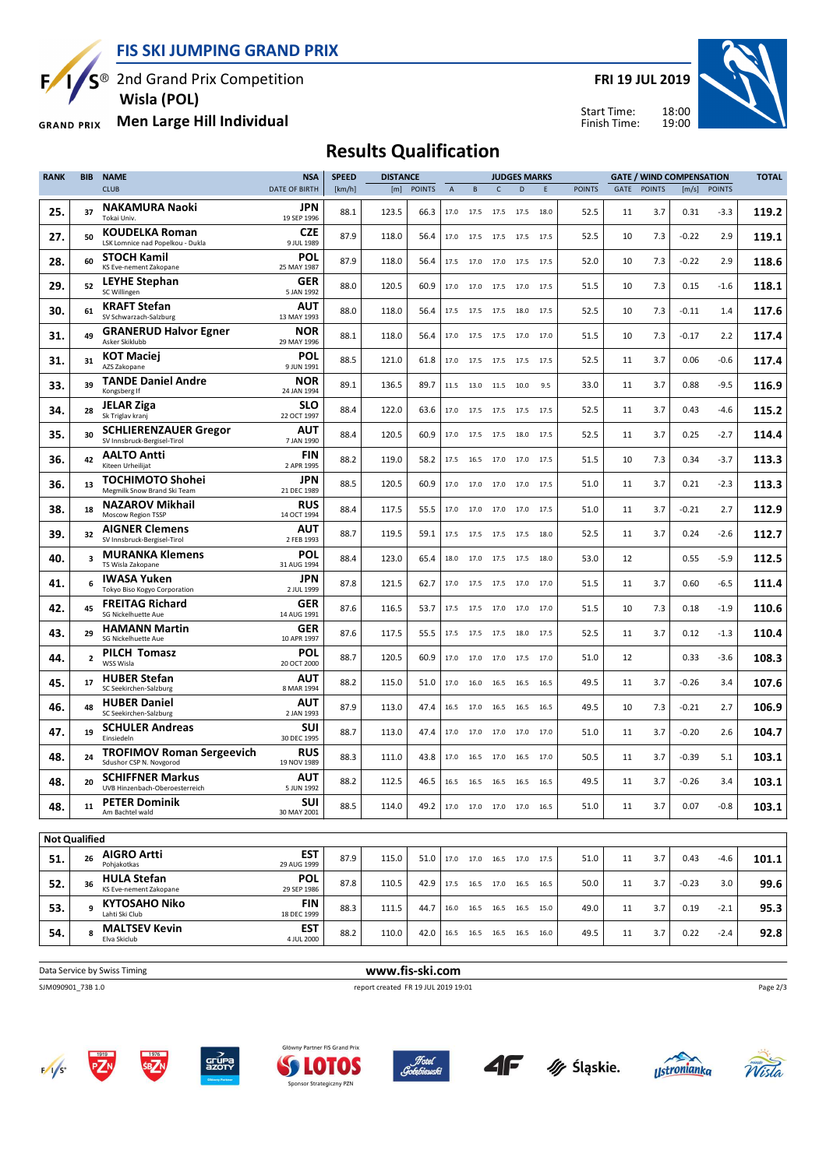**FIS SKI JUMPING GRAND PRIX**

<sup>3</sup> 2nd Grand Prix Competition

Ę

 **Wisla (POL)**

**Men Large Hill Individual GRAND PRIX** 

**FRI 19 JUL 2019**





## **Results Qualification**

| <b>RANK</b>          | <b>BIB</b>     | <b>NAME</b>                                                 | <b>NSA</b>                | <b>SPEED</b> | <b>DISTANCE</b> |               |                |                              |                | <b>JUDGES MARKS</b> |      |               |      |               | <b>GATE / WIND COMPENSATION</b> |              | <b>TOTAL</b> |
|----------------------|----------------|-------------------------------------------------------------|---------------------------|--------------|-----------------|---------------|----------------|------------------------------|----------------|---------------------|------|---------------|------|---------------|---------------------------------|--------------|--------------|
|                      |                | <b>CLUB</b>                                                 | <b>DATE OF BIRTH</b>      | [km/h]       | [m]             | <b>POINTS</b> | $\overline{A}$ | B                            | $\mathsf{C}$   | D                   | E    | <b>POINTS</b> | GATE | <b>POINTS</b> |                                 | [m/s] POINTS |              |
| 25.                  | 37             | <b>NAKAMURA Naoki</b><br>Tokai Univ.                        | JPN<br>19 SEP 1996        | 88.1         | 123.5           | 66.3          | 17.0           | 17.5                         |                | 17.5 17.5           | 18.0 | 52.5          | 11   | 3.7           | 0.31                            | $-3.3$       | 119.2        |
| 27.                  | 50             | <b>KOUDELKA Roman</b><br>LSK Lomnice nad Popelkou - Dukla   | CZE<br>9 JUL 1989         | 87.9         | 118.0           | 56.4          | 17.0           | 17.5                         | 17.5           | 17.5                | 17.5 | 52.5          | 10   | 7.3           | $-0.22$                         | 2.9          | 119.1        |
| 28.                  | 60             | <b>STOCH Kamil</b><br>KS Eve-nement Zakopane                | POL<br>25 MAY 1987        | 87.9         | 118.0           | 56.4          | 17.5           | 17.0                         | 17.0 17.5 17.5 |                     |      | 52.0          | 10   | 7.3           | $-0.22$                         | 2.9          | 118.6        |
| 29.                  | 52             | LEYHE Stephan<br>SC Willingen                               | GER<br>5 JAN 1992         | 88.0         | 120.5           | 60.9          | 17.0           | 17.0                         | 17.5           | 17.0                | 17.5 | 51.5          | 10   | 7.3           | 0.15                            | $-1.6$       | 118.1        |
| 30.                  | 61             | <b>KRAFT Stefan</b><br>SV Schwarzach-Salzburg               | AUT<br>13 MAY 1993        | 88.0         | 118.0           | 56.4          | 17.5           | 17.5                         | 17.5           | 18.0                | 17.5 | 52.5          | 10   | 7.3           | $-0.11$                         | 1.4          | 117.6        |
| 31.                  | 49             | <b>GRANERUD Halvor Egner</b><br>Asker Skiklubb              | NOR<br>29 MAY 1996        | 88.1         | 118.0           | 56.4          | 17.0           | 17.5                         | 17.5           | 17.0                | 17.0 | 51.5          | 10   | 7.3           | $-0.17$                         | 2.2          | 117.4        |
| 31.                  | 31             | <b>KOT Maciej</b><br>AZS Zakopane                           | POL<br>9 JUN 1991         | 88.5         | 121.0           | 61.8          | 17.0           | 17.5                         |                | 17.5 17.5           | 17.5 | 52.5          | 11   | 3.7           | 0.06                            | $-0.6$       | 117.4        |
| 33.                  | 39             | <b>TANDE Daniel Andre</b><br>Kongsberg If                   | NOR<br>24 JAN 1994        | 89.1         | 136.5           | 89.7          | 11.5           | 13.0                         | 11.5           | 10.0                | 9.5  | 33.0          | 11   | 3.7           | 0.88                            | $-9.5$       | 116.9        |
| 34.                  | 28             | <b>JELAR Ziga</b><br>Sk Triglav kranj                       | <b>SLO</b><br>22 OCT 1997 | 88.4         | 122.0           | 63.6          | 17.0           | 17.5                         | 17.5 17.5      |                     | 17.5 | 52.5          | 11   | 3.7           | 0.43                            | -4.6         | 115.2        |
| 35.                  | 30             | <b>SCHLIERENZAUER Gregor</b><br>SV Innsbruck-Bergisel-Tirol | AUT<br>7 JAN 1990         | 88.4         | 120.5           | 60.9          | 17.0           | 17.5                         |                | 17.5 18.0           | 17.5 | 52.5          | 11   | 3.7           | 0.25                            | $-2.7$       | 114.4        |
| 36.                  | 42             | <b>AALTO Antti</b><br>Kiteen Urheilijat                     | <b>FIN</b><br>2 APR 1995  | 88.2         | 119.0           | 58.2          | 17.5           | 16.5                         | 17.0 17.0      |                     | 17.5 | 51.5          | 10   | 7.3           | 0.34                            | $-3.7$       | 113.3        |
| 36.                  | 13             | <b>TOCHIMOTO Shohei</b><br>Megmilk Snow Brand Ski Team      | JPN<br>21 DEC 1989        | 88.5         | 120.5           | 60.9          | 17.0           | 17.0                         | 17.0           | 17.0                | 17.5 | 51.0          | 11   | 3.7           | 0.21                            | $-2.3$       | 113.3        |
| 38.                  | 18             | <b>NAZAROV Mikhail</b><br>Moscow Region TSSP                | <b>RUS</b><br>14 OCT 1994 | 88.4         | 117.5           | 55.5          | 17.0           | 17.0                         |                | 17.0 17.0           | 17.5 | 51.0          | 11   | 3.7           | $-0.21$                         | 2.7          | 112.9        |
| 39.                  | 32             | <b>AIGNER Clemens</b><br>SV Innsbruck-Bergisel-Tirol        | AUT<br>2 FEB 1993         | 88.7         | 119.5           | 59.1          | 17.5           | 17.5                         | 17.5           | 17.5                | 18.0 | 52.5          | 11   | 3.7           | 0.24                            | -2.6         | 112.7        |
| 40.                  | 3              | <b>MURANKA Klemens</b><br>TS Wisla Zakopane                 | <b>POL</b><br>31 AUG 1994 | 88.4         | 123.0           | 65.4          | 18.0           | 17.0                         |                | 17.5 17.5           | 18.0 | 53.0          | 12   |               | 0.55                            | $-5.9$       | 112.5        |
| 41.                  |                | <b>IWASA Yuken</b><br>Tokyo Biso Kogyo Corporation          | JPN<br>2 JUL 1999         | 87.8         | 121.5           | 62.7          | 17.0           | 17.5                         | 17.5           | 17.0                | 17.0 | 51.5          | 11   | 3.7           | 0.60                            | $-6.5$       | 111.4        |
| 42.                  | 45             | <b>FREITAG Richard</b><br>SG Nickelhuette Aue               | <b>GER</b><br>14 AUG 1991 | 87.6         | 116.5           | 53.7          | 17.5           | 17.5                         | 17.0           | 17.0                | 17.0 | 51.5          | 10   | 7.3           | 0.18                            | $-1.9$       | 110.6        |
| 43.                  | 29             | <b>HAMANN Martin</b><br>SG Nickelhuette Aue                 | GER<br>10 APR 1997        | 87.6         | 117.5           | 55.5          | 17.5           | 17.5                         | 17.5           | 18.0                | 17.5 | 52.5          | 11   | 3.7           | 0.12                            | $-1.3$       | 110.4        |
| 44.                  | $\overline{2}$ | <b>PILCH Tomasz</b><br>WSS Wisla                            | <b>POL</b><br>20 OCT 2000 | 88.7         | 120.5           | 60.9          | 17.0           | 17.0                         |                | 17.0 17.5           | 17.0 | 51.0          | 12   |               | 0.33                            | $-3.6$       | 108.3        |
| 45.                  | 17             | <b>HUBER Stefan</b><br>SC Seekirchen-Salzburg               | AUT<br>8 MAR 1994         | 88.2         | 115.0           | 51.0          | 17.0           | 16.0                         |                | 16.5 16.5           | 16.5 | 49.5          | 11   | 3.7           | $-0.26$                         | 3.4          | 107.6        |
| 46.                  | 48             | <b>HUBER Daniel</b><br>SC Seekirchen-Salzburg               | <b>AUT</b><br>2 JAN 1993  | 87.9         | 113.0           | 47.4          | 16.5           | 17.0                         | 16.5           | 16.5                | 16.5 | 49.5          | 10   | 7.3           | $-0.21$                         | 2.7          | 106.9        |
| 47.                  | 19             | <b>SCHULER Andreas</b><br>Einsiedeln                        | <b>SUI</b><br>30 DEC 1995 | 88.7         | 113.0           | 47.4          | 17.0           | 17.0                         |                | 17.0 17.0 17.0      |      | 51.0          | 11   | 3.7           | $-0.20$                         | 2.6          | 104.7        |
| 48.                  | 24             | <b>TROFIMOV Roman Sergeevich</b><br>Sdushor CSP N. Novgorod | <b>RUS</b><br>19 NOV 1989 | 88.3         | 111.0           | 43.8          | 17.0           | 16.5                         | 17.0 16.5      |                     | 17.0 | 50.5          | 11   | 3.7           | $-0.39$                         | 5.1          | 103.1        |
| 48.                  | 20             | <b>SCHIFFNER Markus</b><br>UVB Hinzenbach-Oberoesterreich   | <b>AUT</b><br>5 JUN 1992  | 88.2         | 112.5           | 46.5          |                | 16.5 16.5                    | 16.5 16.5 16.5 |                     |      | 49.5          | 11   | 3.7           | $-0.26$                         | 3.4          | 103.1        |
| 48.                  | 11             | <b>PETER Dominik</b><br>Am Bachtel wald                     | <b>SUI</b><br>30 MAY 2001 | 88.5         | 114.0           | 49.2          |                | 17.0 17.0 17.0 17.0 16.5     |                |                     |      | 51.0          | 11   | 3.7           | 0.07                            | $-0.8$       | 103.1        |
| <b>Not Qualified</b> |                |                                                             |                           |              |                 |               |                |                              |                |                     |      |               |      |               |                                 |              |              |
| 51.                  | 26             | <b>AIGRO Artti</b>                                          | <b>EST</b>                | 87.9         | 115.0           | 51.0          |                | 17.0 17.0 16.5 17.0 17.5     |                |                     |      | 51.0          | 11   | 3.7           | 0.43                            | -4.6         | 101.1        |
| 52.                  | 36             | Pohiakotkas<br><b>HULA Stefan</b>                           | 29 AUG 1999<br><b>POL</b> | 87.8         | 110.5           | 42.9          |                | 17.5  16.5  17.0  16.5  16.5 |                |                     |      | 50.0          | 11   | 3.7           | $-0.23$                         | 3.0          | 99.6         |
| 53.                  | 9              | KS Eve-nement Zakopane<br><b>KYTOSAHO Niko</b>              | 29 SEP 1986<br>FIN        | 88.3         | 111.5           | 44.7          | 16.0           | 16.5 16.5 16.5 15.0          |                |                     |      | 49.0          | 11   | 3.7           | 0.19                            | $-2.1$       | 95.3         |
| 54.                  | 8              | Lahti Ski Club<br><b>MALTSEV Kevin</b>                      | 18 DEC 1999<br><b>EST</b> | 88.2         | 110.0           | 42.0          |                | 16.5 16.5 16.5 16.5 16.0     |                |                     |      | 49.5          | 11   | 3.7           | 0.22                            | $-2.4$       | 92.8         |
|                      |                | Elva Skiclub                                                | 4 JUL 2000                |              |                 |               |                |                              |                |                     |      |               |      |               |                                 |              |              |

**Data Service by Swiss Timing WWW.fis-ski.com** 

SJM090901\_73B 1.0 report created FR 19 JUL 2019 19:01

Page 2/3